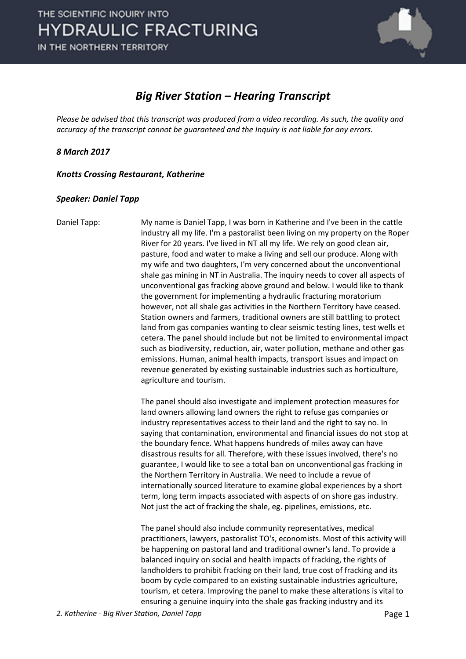

#### *Big River Station – Hearing Transcript*

*Please be advised that this transcript was produced from a video recording. As such, the quality and accuracy of the transcript cannot be guaranteed and the Inquiry is not liable for any errors.*

*8 March 2017* 

*Knotts Crossing Restaurant, Katherine* 

#### *Speaker: Daniel Tapp*

Daniel Tapp: My name is Daniel Tapp, I was born in Katherine and I've been in the cattle industry all my life. I'm a pastoralist been living on my property on the Roper River for 20 years. I've lived in NT all my life. We rely on good clean air, pasture, food and water to make a living and sell our produce. Along with my wife and two daughters, I'm very concerned about the unconventional shale gas mining in NT in Australia. The inquiry needs to cover all aspects of unconventional gas fracking above ground and below. I would like to thank the government for implementing a hydraulic fracturing moratorium however, not all shale gas activities in the Northern Territory have ceased. Station owners and farmers, traditional owners are still battling to protect land from gas companies wanting to clear seismic testing lines, test wells et cetera. The panel should include but not be limited to environmental impact such as biodiversity, reduction, air, water pollution, methane and other gas emissions. Human, animal health impacts, transport issues and impact on revenue generated by existing sustainable industries such as horticulture, agriculture and tourism.

> The panel should also investigate and implement protection measures for land owners allowing land owners the right to refuse gas companies or industry representatives access to their land and the right to say no. In saying that contamination, environmental and financial issues do not stop at the boundary fence. What happens hundreds of miles away can have disastrous results for all. Therefore, with these issues involved, there's no guarantee, I would like to see a total ban on unconventional gas fracking in the Northern Territory in Australia. We need to include a revue of internationally sourced literature to examine global experiences by a short term, long term impacts associated with aspects of on shore gas industry. Not just the act of fracking the shale, eg. pipelines, emissions, etc.

> The panel should also include community representatives, medical practitioners, lawyers, pastoralist TO's, economists. Most of this activity will be happening on pastoral land and traditional owner's land. To provide a balanced inquiry on social and health impacts of fracking, the rights of landholders to prohibit fracking on their land, true cost of fracking and its boom by cycle compared to an existing sustainable industries agriculture, tourism, et cetera. Improving the panel to make these alterations is vital to ensuring a genuine inquiry into the shale gas fracking industry and its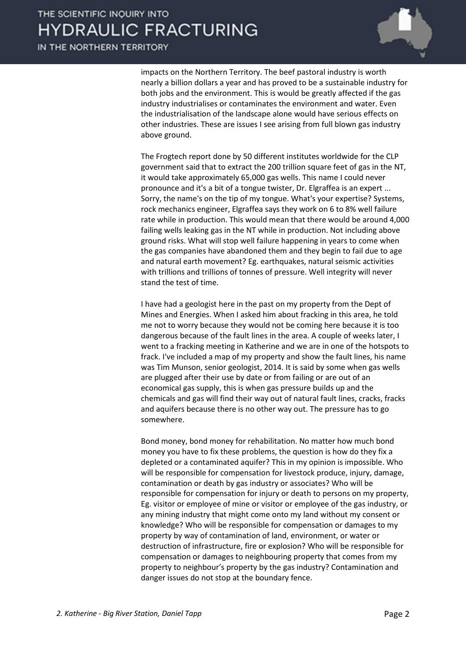impacts on the Northern Territory. The beef pastoral industry is worth nearly a billion dollars a year and has proved to be a sustainable industry for both jobs and the environment. This is would be greatly affected if the gas industry industrialises or contaminates the environment and water. Even the industrialisation of the landscape alone would have serious effects on other industries. These are issues I see arising from full blown gas industry above ground.

The Frogtech report done by 50 different institutes worldwide for the CLP government said that to extract the 200 trillion square feet of gas in the NT, it would take approximately 65,000 gas wells. This name I could never pronounce and it's a bit of a tongue twister, Dr. Elgraffea is an expert ... Sorry, the name's on the tip of my tongue. What's your expertise? Systems, rock mechanics engineer, Elgraffea says they work on 6 to 8% well failure rate while in production. This would mean that there would be around 4,000 failing wells leaking gas in the NT while in production. Not including above ground risks. What will stop well failure happening in years to come when the gas companies have abandoned them and they begin to fail due to age and natural earth movement? Eg. earthquakes, natural seismic activities with trillions and trillions of tonnes of pressure. Well integrity will never stand the test of time.

I have had a geologist here in the past on my property from the Dept of Mines and Energies. When I asked him about fracking in this area, he told me not to worry because they would not be coming here because it is too dangerous because of the fault lines in the area. A couple of weeks later, I went to a fracking meeting in Katherine and we are in one of the hotspots to frack. I've included a map of my property and show the fault lines, his name was Tim Munson, senior geologist, 2014. It is said by some when gas wells are plugged after their use by date or from failing or are out of an economical gas supply, this is when gas pressure builds up and the chemicals and gas will find their way out of natural fault lines, cracks, fracks and aquifers because there is no other way out. The pressure has to go somewhere.

Bond money, bond money for rehabilitation. No matter how much bond money you have to fix these problems, the question is how do they fix a depleted or a contaminated aquifer? This in my opinion is impossible. Who will be responsible for compensation for livestock produce, injury, damage, contamination or death by gas industry or associates? Who will be responsible for compensation for injury or death to persons on my property, Eg. visitor or employee of mine or visitor or employee of the gas industry, or any mining industry that might come onto my land without my consent or knowledge? Who will be responsible for compensation or damages to my property by way of contamination of land, environment, or water or destruction of infrastructure, fire or explosion? Who will be responsible for compensation or damages to neighbouring property that comes from my property to neighbour's property by the gas industry? Contamination and danger issues do not stop at the boundary fence.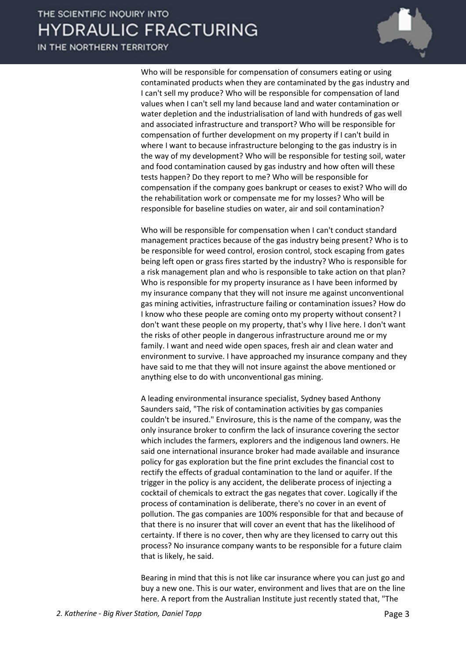IN THE NORTHERN TERRITORY



Who will be responsible for compensation of consumers eating or using contaminated products when they are contaminated by the gas industry and I can't sell my produce? Who will be responsible for compensation of land values when I can't sell my land because land and water contamination or water depletion and the industrialisation of land with hundreds of gas well and associated infrastructure and transport? Who will be responsible for compensation of further development on my property if I can't build in where I want to because infrastructure belonging to the gas industry is in the way of my development? Who will be responsible for testing soil, water and food contamination caused by gas industry and how often will these tests happen? Do they report to me? Who will be responsible for compensation if the company goes bankrupt or ceases to exist? Who will do the rehabilitation work or compensate me for my losses? Who will be responsible for baseline studies on water, air and soil contamination?

Who will be responsible for compensation when I can't conduct standard management practices because of the gas industry being present? Who is to be responsible for weed control, erosion control, stock escaping from gates being left open or grass fires started by the industry? Who is responsible for a risk management plan and who is responsible to take action on that plan? Who is responsible for my property insurance as I have been informed by my insurance company that they will not insure me against unconventional gas mining activities, infrastructure failing or contamination issues? How do I know who these people are coming onto my property without consent? I don't want these people on my property, that's why I live here. I don't want the risks of other people in dangerous infrastructure around me or my family. I want and need wide open spaces, fresh air and clean water and environment to survive. I have approached my insurance company and they have said to me that they will not insure against the above mentioned or anything else to do with unconventional gas mining.

A leading environmental insurance specialist, Sydney based Anthony Saunders said, "The risk of contamination activities by gas companies couldn't be insured." Envirosure, this is the name of the company, was the only insurance broker to confirm the lack of insurance covering the sector which includes the farmers, explorers and the indigenous land owners. He said one international insurance broker had made available and insurance policy for gas exploration but the fine print excludes the financial cost to rectify the effects of gradual contamination to the land or aquifer. If the trigger in the policy is any accident, the deliberate process of injecting a cocktail of chemicals to extract the gas negates that cover. Logically if the process of contamination is deliberate, there's no cover in an event of pollution. The gas companies are 100% responsible for that and because of that there is no insurer that will cover an event that has the likelihood of certainty. If there is no cover, then why are they licensed to carry out this process? No insurance company wants to be responsible for a future claim that is likely, he said.

Bearing in mind that this is not like car insurance where you can just go and buy a new one. This is our water, environment and lives that are on the line here. A report from the Australian Institute just recently stated that, "The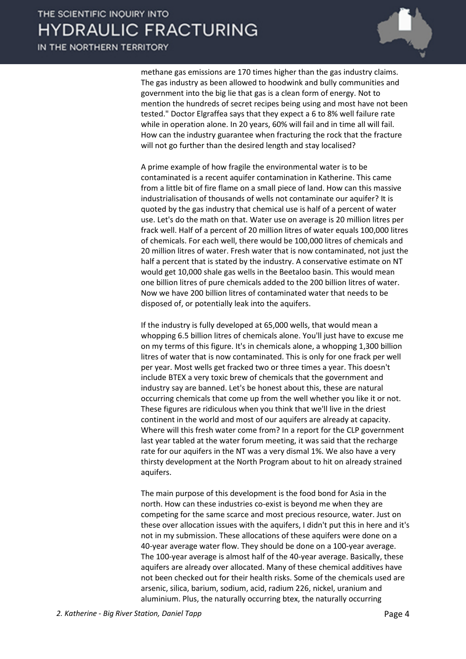IN THE NORTHERN TERRITORY



methane gas emissions are 170 times higher than the gas industry claims. The gas industry as been allowed to hoodwink and bully communities and government into the big lie that gas is a clean form of energy. Not to mention the hundreds of secret recipes being using and most have not been tested." Doctor Elgraffea says that they expect a 6 to 8% well failure rate while in operation alone. In 20 years, 60% will fail and in time all will fail. How can the industry guarantee when fracturing the rock that the fracture will not go further than the desired length and stay localised?

A prime example of how fragile the environmental water is to be contaminated is a recent aquifer contamination in Katherine. This came from a little bit of fire flame on a small piece of land. How can this massive industrialisation of thousands of wells not contaminate our aquifer? It is quoted by the gas industry that chemical use is half of a percent of water use. Let's do the math on that. Water use on average is 20 million litres per frack well. Half of a percent of 20 million litres of water equals 100,000 litres of chemicals. For each well, there would be 100,000 litres of chemicals and 20 million litres of water. Fresh water that is now contaminated, not just the half a percent that is stated by the industry. A conservative estimate on NT would get 10,000 shale gas wells in the Beetaloo basin. This would mean one billion litres of pure chemicals added to the 200 billion litres of water. Now we have 200 billion litres of contaminated water that needs to be disposed of, or potentially leak into the aquifers.

If the industry is fully developed at 65,000 wells, that would mean a whopping 6.5 billion litres of chemicals alone. You'll just have to excuse me on my terms of this figure. It's in chemicals alone, a whopping 1,300 billion litres of water that is now contaminated. This is only for one frack per well per year. Most wells get fracked two or three times a year. This doesn't include BTEX a very toxic brew of chemicals that the government and industry say are banned. Let's be honest about this, these are natural occurring chemicals that come up from the well whether you like it or not. These figures are ridiculous when you think that we'll live in the driest continent in the world and most of our aquifers are already at capacity. Where will this fresh water come from? In a report for the CLP government last year tabled at the water forum meeting, it was said that the recharge rate for our aquifers in the NT was a very dismal 1%. We also have a very thirsty development at the North Program about to hit on already strained aquifers.

The main purpose of this development is the food bond for Asia in the north. How can these industries co-exist is beyond me when they are competing for the same scarce and most precious resource, water. Just on these over allocation issues with the aquifers, I didn't put this in here and it's not in my submission. These allocations of these aquifers were done on a 40-year average water flow. They should be done on a 100-year average. The 100-year average is almost half of the 40-year average. Basically, these aquifers are already over allocated. Many of these chemical additives have not been checked out for their health risks. Some of the chemicals used are arsenic, silica, barium, sodium, acid, radium 226, nickel, uranium and aluminium. Plus, the naturally occurring btex, the naturally occurring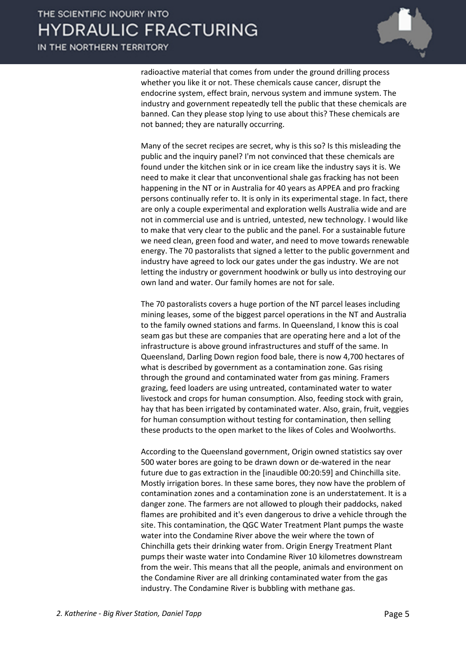IN THE NORTHERN TERRITORY



radioactive material that comes from under the ground drilling process whether you like it or not. These chemicals cause cancer, disrupt the endocrine system, effect brain, nervous system and immune system. The industry and government repeatedly tell the public that these chemicals are banned. Can they please stop lying to use about this? These chemicals are not banned; they are naturally occurring.

Many of the secret recipes are secret, why is this so? Is this misleading the public and the inquiry panel? I'm not convinced that these chemicals are found under the kitchen sink or in ice cream like the industry says it is. We need to make it clear that unconventional shale gas fracking has not been happening in the NT or in Australia for 40 years as APPEA and pro fracking persons continually refer to. It is only in its experimental stage. In fact, there are only a couple experimental and exploration wells Australia wide and are not in commercial use and is untried, untested, new technology. I would like to make that very clear to the public and the panel. For a sustainable future we need clean, green food and water, and need to move towards renewable energy. The 70 pastoralists that signed a letter to the public government and industry have agreed to lock our gates under the gas industry. We are not letting the industry or government hoodwink or bully us into destroying our own land and water. Our family homes are not for sale.

The 70 pastoralists covers a huge portion of the NT parcel leases including mining leases, some of the biggest parcel operations in the NT and Australia to the family owned stations and farms. In Queensland, I know this is coal seam gas but these are companies that are operating here and a lot of the infrastructure is above ground infrastructures and stuff of the same. In Queensland, Darling Down region food bale, there is now 4,700 hectares of what is described by government as a contamination zone. Gas rising through the ground and contaminated water from gas mining. Framers grazing, feed loaders are using untreated, contaminated water to water livestock and crops for human consumption. Also, feeding stock with grain, hay that has been irrigated by contaminated water. Also, grain, fruit, veggies for human consumption without testing for contamination, then selling these products to the open market to the likes of Coles and Woolworths.

According to the Queensland government, Origin owned statistics say over 500 water bores are going to be drawn down or de-watered in the near future due to gas extraction in the [inaudible 00:20:59] and Chinchilla site. Mostly irrigation bores. In these same bores, they now have the problem of contamination zones and a contamination zone is an understatement. It is a danger zone. The farmers are not allowed to plough their paddocks, naked flames are prohibited and it's even dangerous to drive a vehicle through the site. This contamination, the QGC Water Treatment Plant pumps the waste water into the Condamine River above the weir where the town of Chinchilla gets their drinking water from. Origin Energy Treatment Plant pumps their waste water into Condamine River 10 kilometres downstream from the weir. This means that all the people, animals and environment on the Condamine River are all drinking contaminated water from the gas industry. The Condamine River is bubbling with methane gas.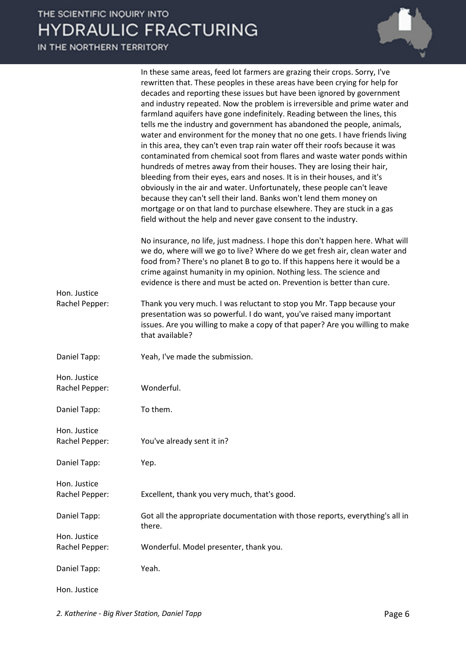IN THE NORTHERN TERRITORY

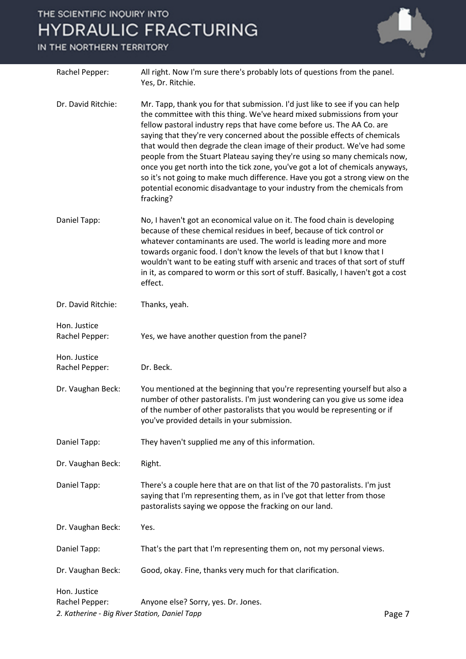#### IN THE NORTHERN TERRITORY



2. Katherine - Big River Station, Daniel Tapp **Page 7 Page 7 Page 7**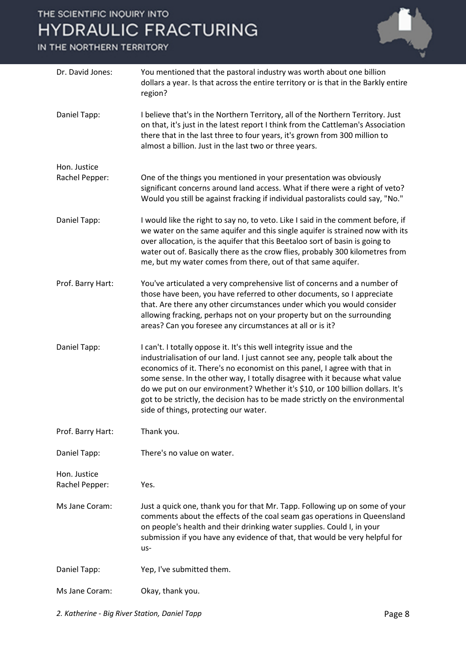IN THE NORTHERN TERRITORY



| Dr. David Jones:               | You mentioned that the pastoral industry was worth about one billion<br>dollars a year. Is that across the entire territory or is that in the Barkly entire<br>region?                                                                                                                                                                                                                                                                                                                                                     |
|--------------------------------|----------------------------------------------------------------------------------------------------------------------------------------------------------------------------------------------------------------------------------------------------------------------------------------------------------------------------------------------------------------------------------------------------------------------------------------------------------------------------------------------------------------------------|
| Daniel Tapp:                   | I believe that's in the Northern Territory, all of the Northern Territory. Just<br>on that, it's just in the latest report I think from the Cattleman's Association<br>there that in the last three to four years, it's grown from 300 million to<br>almost a billion. Just in the last two or three years.                                                                                                                                                                                                                |
| Hon. Justice<br>Rachel Pepper: | One of the things you mentioned in your presentation was obviously<br>significant concerns around land access. What if there were a right of veto?<br>Would you still be against fracking if individual pastoralists could say, "No."                                                                                                                                                                                                                                                                                      |
| Daniel Tapp:                   | I would like the right to say no, to veto. Like I said in the comment before, if<br>we water on the same aquifer and this single aquifer is strained now with its<br>over allocation, is the aquifer that this Beetaloo sort of basin is going to<br>water out of. Basically there as the crow flies, probably 300 kilometres from<br>me, but my water comes from there, out of that same aquifer.                                                                                                                         |
| Prof. Barry Hart:              | You've articulated a very comprehensive list of concerns and a number of<br>those have been, you have referred to other documents, so I appreciate<br>that. Are there any other circumstances under which you would consider<br>allowing fracking, perhaps not on your property but on the surrounding<br>areas? Can you foresee any circumstances at all or is it?                                                                                                                                                        |
| Daniel Tapp:                   | I can't. I totally oppose it. It's this well integrity issue and the<br>industrialisation of our land. I just cannot see any, people talk about the<br>economics of it. There's no economist on this panel, I agree with that in<br>some sense. In the other way, I totally disagree with it because what value<br>do we put on our environment? Whether it's \$10, or 100 billion dollars. It's<br>got to be strictly, the decision has to be made strictly on the environmental<br>side of things, protecting our water. |
| Prof. Barry Hart:              | Thank you.                                                                                                                                                                                                                                                                                                                                                                                                                                                                                                                 |
| Daniel Tapp:                   | There's no value on water.                                                                                                                                                                                                                                                                                                                                                                                                                                                                                                 |
| Hon. Justice<br>Rachel Pepper: | Yes.                                                                                                                                                                                                                                                                                                                                                                                                                                                                                                                       |
| Ms Jane Coram:                 | Just a quick one, thank you for that Mr. Tapp. Following up on some of your<br>comments about the effects of the coal seam gas operations in Queensland<br>on people's health and their drinking water supplies. Could I, in your<br>submission if you have any evidence of that, that would be very helpful for<br>us-                                                                                                                                                                                                    |
| Daniel Tapp:                   | Yep, I've submitted them.                                                                                                                                                                                                                                                                                                                                                                                                                                                                                                  |
| Ms Jane Coram:                 | Okay, thank you.                                                                                                                                                                                                                                                                                                                                                                                                                                                                                                           |